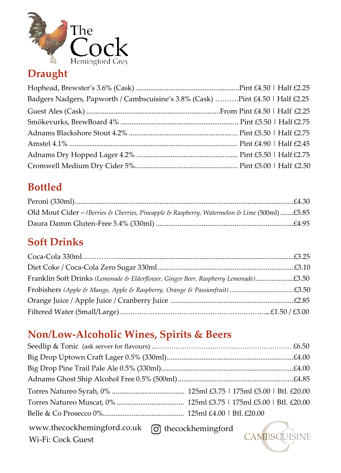

## **Draught**

| Badgers Nadgers, Papworth / Cambscuisine's 3.8% (Cask) Pint £4.50   Half £2.25 |  |
|--------------------------------------------------------------------------------|--|
|                                                                                |  |
|                                                                                |  |
|                                                                                |  |
|                                                                                |  |
|                                                                                |  |
|                                                                                |  |

# **Bottled**

| Old Mout Cider – (Berries & Cherries, Pineapple & Raspberry, Watermelon & Lime (500ml) £5.85 |  |
|----------------------------------------------------------------------------------------------|--|
|                                                                                              |  |

## **Soft Drinks**

| Franklin Soft Drinks (Lemonade & Elderflower, Ginger Beer, Raspberry Lemonade)£3.50 |  |
|-------------------------------------------------------------------------------------|--|
|                                                                                     |  |
|                                                                                     |  |
|                                                                                     |  |

# **Non/Low-Alcoholic Wines, Spirits & Beers**

[www.thecockhemingford.co.uk](http://www.thecockhemingford.co.uk/) thecockhemingford

Wi-Fi: Cock Guest